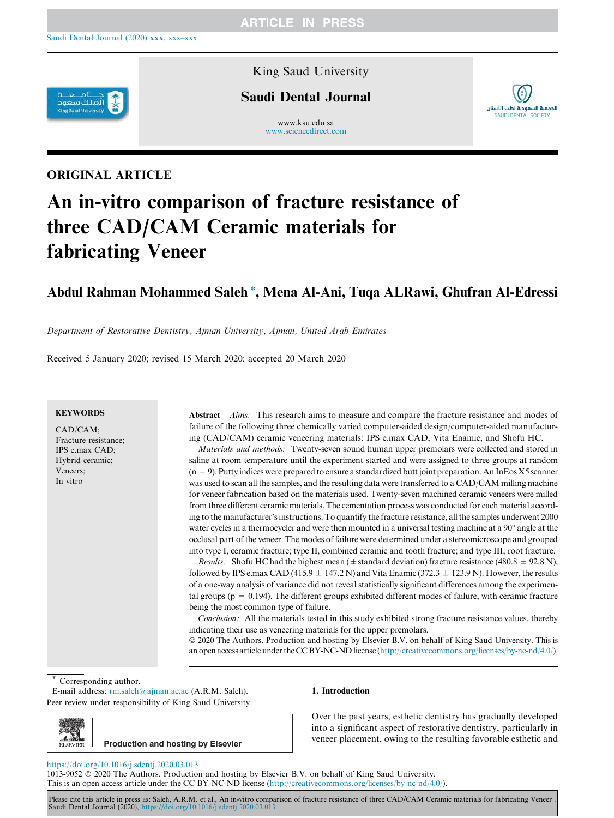

## King Saud University

# Saudi Dental Journal

www.ksu.edu.sa www.sciencedirect.com



# ORIGINAL ARTICLE

# An in-vitro comparison of fracture resistance of three CAD/CAM Ceramic materials for fabricating Veneer

# Abdul Rahman Mohammed Saleh \*, Mena Al-Ani, Tuqa ALRawi, Ghufran Al-Edressi

*Department of Restorative Dentistry, Ajman University, Ajman, United Arab Emirates*

Received 5 January 2020; revised 15 March 2020; accepted 20 March 2020

#### **KEYWORDS**

CAD/CAM; Fracture resistance; IPS e.max CAD; Hybrid ceramic; Veneers; In vitro

Abstract *Aims:* This research aims to measure and compare the fracture resistance and modes of failure of the following three chemically varied computer-aided design/computer-aided manufacturing (CAD/CAM) ceramic veneering materials: IPS e.max CAD, Vita Enamic, and Shofu HC.

*Materials and methods:* Twenty-seven sound human upper premolars were collected and stored in saline at room temperature until the experiment started and were assigned to three groups at random  $(n = 9)$ . Putty indices were prepared to ensure a standardized butt joint preparation. An InEos X5 scanner was used to scan all the samples, and the resulting data were transferred to a CAD/CAM milling machine for veneer fabrication based on the materials used. Twenty-seven machined ceramic veneers were milled from three different ceramic materials. The cementation process was conducted for each material according to the manufacturer's instructions. To quantify the fracture resistance, all the samples underwent 2000 water cycles in a thermocycler and were then mounted in a universal testing machine at a 90° angle at the occlusal part of the veneer. The modes of failure were determined under a stereomicroscope and grouped into type I, ceramic fracture; type II, combined ceramic and tooth fracture; and type III, root fracture.

*Results:* Shofu HC had the highest mean ( $\pm$  standard deviation) fracture resistance (480.8  $\pm$  92.8 N), followed by IPS e.max CAD (415.9  $\pm$  147.2 N) and Vita Enamic (372.3  $\pm$  123.9 N). However, the results of a one-way analysis of variance did not reveal statistically significant differences among the experimental groups ( $p = 0.194$ ). The different groups exhibited different modes of failure, with ceramic fracture being the most common type of failure.

*Conclusion:* All the materials tested in this study exhibited strong fracture resistance values, thereby indicating their use as veneering materials for the upper premolars.

 2020 The Authors. Production and hosting by Elsevier B.V. on behalf of King Saud University. This is an open access article under the CC BY-NC-ND license (http://creativecommons.org/licenses/by-nc-nd/4.0/).

Corresponding author.

**ELSEVIER** 

E-mail address: rm.saleh@ajman.ac.ae (A.R.M. Saleh). Peer review under responsibility of King Saud University.

#### 1. Introduction

**Production and hosting by Elsevier**

Over the past years, esthetic dentistry has gradually developed into a significant aspect of restorative dentistry, particularly in veneer placement, owing to the resulting favorable esthetic and

#### https://doi.org/10.1016/j.sdentj.2020.03.013

1013-9052 2020 The Authors. Production and hosting by Elsevier B.V. on behalf of King Saud University. This is an open access article under the CC BY-NC-ND license (http://creativecommons.org/licenses/by-nc-nd/4.0/).

Please cite this article in press as: Saleh, A.R.M. et al., An in-vitro comparison of fracture resistance of three CAD/CAM Ceramic materials for fabricating Veneer Saudi Dental Journal (2020), https://doi.org/10.1016/j.sdentj.2020.03.013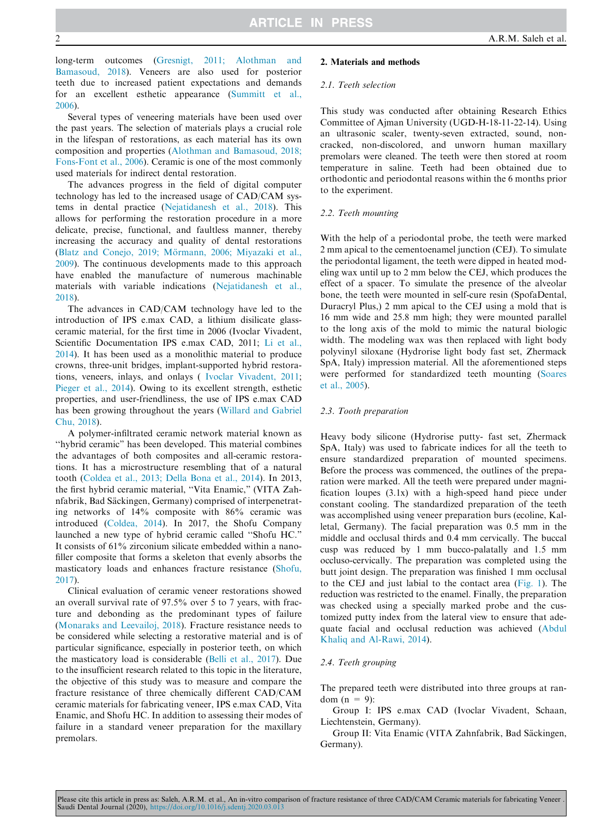long-term outcomes (Gresnigt, 2011; Alothman and Bamasoud, 2018). Veneers are also used for posterior teeth due to increased patient expectations and demands for an excellent esthetic appearance (Summitt et al., 2006).

Several types of veneering materials have been used over the past years. The selection of materials plays a crucial role in the lifespan of restorations, as each material has its own composition and properties (Alothman and Bamasoud, 2018; Fons-Font et al., 2006). Ceramic is one of the most commonly used materials for indirect dental restoration.

The advances progress in the field of digital computer technology has led to the increased usage of CAD/CAM systems in dental practice (Nejatidanesh et al., 2018). This allows for performing the restoration procedure in a more delicate, precise, functional, and faultless manner, thereby increasing the accuracy and quality of dental restorations (Blatz and Conejo, 2019; Mörmann, 2006; Miyazaki et al., 2009). The continuous developments made to this approach have enabled the manufacture of numerous machinable materials with variable indications (Nejatidanesh et al., 2018).

The advances in CAD/CAM technology have led to the introduction of IPS e.max CAD, a lithium disilicate glassceramic material, for the first time in 2006 (Ivoclar Vivadent, Scientific Documentation IPS e.max CAD, 2011; Li et al., 2014). It has been used as a monolithic material to produce crowns, three-unit bridges, implant-supported hybrid restorations, veneers, inlays, and onlays ( Ivoclar Vivadent, 2011; Pieger et al., 2014). Owing to its excellent strength, esthetic properties, and user-friendliness, the use of IPS e.max CAD has been growing throughout the years (Willard and Gabriel Chu, 2018).

A polymer-infiltrated ceramic network material known as ''hybrid ceramic" has been developed. This material combines the advantages of both composites and all-ceramic restorations. It has a microstructure resembling that of a natural tooth (Coldea et al., 2013; Della Bona et al., 2014). In 2013, the first hybrid ceramic material, ''Vita Enamic," (VITA Zahnfabrik, Bad Säckingen, Germany) comprised of interpenetrating networks of 14% composite with 86% ceramic was introduced (Coldea, 2014). In 2017, the Shofu Company launched a new type of hybrid ceramic called "Shofu HC. It consists of 61% zirconium silicate embedded within a nanofiller composite that forms a skeleton that evenly absorbs the masticatory loads and enhances fracture resistance (Shofu, 2017).

Clinical evaluation of ceramic veneer restorations showed an overall survival rate of 97.5% over 5 to 7 years, with fracture and debonding as the predominant types of failure (Monaraks and Leevailoj, 2018). Fracture resistance needs to be considered while selecting a restorative material and is of particular significance, especially in posterior teeth, on which the masticatory load is considerable (Belli et al., 2017). Due to the insufficient research related to this topic in the literature, the objective of this study was to measure and compare the fracture resistance of three chemically different CAD/CAM ceramic materials for fabricating veneer, IPS e.max CAD, Vita Enamic, and Shofu HC. In addition to assessing their modes of failure in a standard veneer preparation for the maxillary premolars.

#### 2. Materials and methods

#### *2.1. Teeth selection*

This study was conducted after obtaining Research Ethics Committee of Ajman University (UGD-H-18-11-22-14). Using an ultrasonic scaler, twenty-seven extracted, sound, noncracked, non-discolored, and unworn human maxillary premolars were cleaned. The teeth were then stored at room temperature in saline. Teeth had been obtained due to orthodontic and periodontal reasons within the 6 months prior to the experiment.

#### *2.2. Teeth mounting*

With the help of a periodontal probe, the teeth were marked 2 mm apical to the cementoenamel junction (CEJ). To simulate the periodontal ligament, the teeth were dipped in heated modeling wax until up to 2 mm below the CEJ, which produces the effect of a spacer. To simulate the presence of the alveolar bone, the teeth were mounted in self-cure resin (SpofaDental, Duracryl Plus,) 2 mm apical to the CEJ using a mold that is 16 mm wide and 25.8 mm high; they were mounted parallel to the long axis of the mold to mimic the natural biologic width. The modeling wax was then replaced with light body polyvinyl siloxane (Hydrorise light body fast set, Zhermack SpA, Italy) impression material. All the aforementioned steps were performed for standardized teeth mounting (Soares et al., 2005).

#### *2.3. Tooth preparation*

Heavy body silicone (Hydrorise putty- fast set, Zhermack SpA, Italy) was used to fabricate indices for all the teeth to ensure standardized preparation of mounted specimens. Before the process was commenced, the outlines of the preparation were marked. All the teeth were prepared under magnification loupes (3.1x) with a high-speed hand piece under constant cooling. The standardized preparation of the teeth was accomplished using veneer preparation burs (ecoline, Kalletal, Germany). The facial preparation was 0.5 mm in the middle and occlusal thirds and 0.4 mm cervically. The buccal cusp was reduced by 1 mm bucco-palatally and 1.5 mm occluso-cervically. The preparation was completed using the butt joint design. The preparation was finished 1 mm occlusal to the CEJ and just labial to the contact area (Fig. 1). The reduction was restricted to the enamel. Finally, the preparation was checked using a specially marked probe and the customized putty index from the lateral view to ensure that adequate facial and occlusal reduction was achieved (Abdul Khaliq and Al-Rawi, 2014).

#### *2.4. Teeth grouping*

The prepared teeth were distributed into three groups at random  $(n = 9)$ :

Group I: IPS e.max CAD (Ivoclar Vivadent, Schaan, Liechtenstein, Germany).

Group II: Vita Enamic (VITA Zahnfabrik, Bad Säckingen, Germany).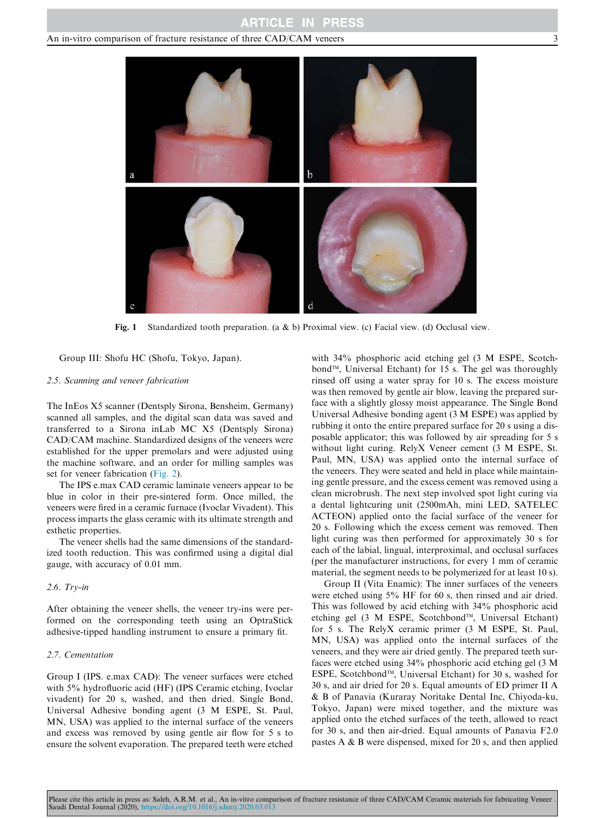### **ARTICLE IN PRESS**

#### An in-vitro comparison of fracture resistance of three CAD/CAM veneers  $\frac{3}{2}$



Fig. 1 Standardized tooth preparation. (a & b) Proximal view. (c) Facial view. (d) Occlusal view.

Group III: Shofu HC (Shofu, Tokyo, Japan).

#### *2.5. Scanning and veneer fabrication*

The InEos X5 scanner (Dentsply Sirona, Bensheim, Germany) scanned all samples, and the digital scan data was saved and transferred to a Sirona inLab MC X5 (Dentsply Sirona) CAD/CAM machine. Standardized designs of the veneers were established for the upper premolars and were adjusted using the machine software, and an order for milling samples was set for veneer fabrication (Fig. 2).

The IPS e.max CAD ceramic laminate veneers appear to be blue in color in their pre-sintered form. Once milled, the veneers were fired in a ceramic furnace (Ivoclar Vivadent). This process imparts the glass ceramic with its ultimate strength and esthetic properties.

The veneer shells had the same dimensions of the standardized tooth reduction. This was confirmed using a digital dial gauge, with accuracy of 0.01 mm.

#### *2.6. Try-in*

After obtaining the veneer shells, the veneer try-ins were performed on the corresponding teeth using an OptraStick adhesive-tipped handling instrument to ensure a primary fit.

#### *2.7. Cementation*

Group I (IPS. e.max CAD): The veneer surfaces were etched with 5% hydrofluoric acid (HF) (IPS Ceramic etching, Ivoclar vivadent) for 20 s, washed, and then dried. Single Bond, Universal Adhesive bonding agent (3 M ESPE, St. Paul, MN, USA) was applied to the internal surface of the veneers and excess was removed by using gentle air flow for 5 s to ensure the solvent evaporation. The prepared teeth were etched with 34% phosphoric acid etching gel (3 M ESPE, Scotchbond<sup>™</sup>, Universal Etchant) for 15 s. The gel was thoroughly rinsed off using a water spray for 10 s. The excess moisture was then removed by gentle air blow, leaving the prepared surface with a slightly glossy moist appearance. The Single Bond Universal Adhesive bonding agent (3 M ESPE) was applied by rubbing it onto the entire prepared surface for 20 s using a disposable applicator; this was followed by air spreading for 5 s without light curing. RelyX Veneer cement (3 M ESPE, St. Paul, MN, USA) was applied onto the internal surface of the veneers. They were seated and held in place while maintaining gentle pressure, and the excess cement was removed using a clean microbrush. The next step involved spot light curing via a dental lightcuring unit (2500mAh, mini LED, SATELEC ACTEON) applied onto the facial surface of the veneer for 20 s. Following which the excess cement was removed. Then light curing was then performed for approximately 30 s for each of the labial, lingual, interproximal, and occlusal surfaces (per the manufacturer instructions, for every 1 mm of ceramic material, the segment needs to be polymerized for at least 10 s).

Group II (Vita Enamic): The inner surfaces of the veneers were etched using 5% HF for 60 s, then rinsed and air dried. This was followed by acid etching with 34% phosphoric acid etching gel (3 M ESPE, Scotchbond™, Universal Etchant) for 5 s. The RelyX ceramic primer (3 M ESPE, St. Paul, MN, USA) was applied onto the internal surfaces of the veneers, and they were air dried gently. The prepared teeth surfaces were etched using 34% phosphoric acid etching gel (3 M ESPE, ScotchbondTM, Universal Etchant) for 30 s, washed for 30 s, and air dried for 20 s. Equal amounts of ED primer II A & B of Panavia (Kuraray Noritake Dental Inc, Chiyoda-ku, Tokyo, Japan) were mixed together, and the mixture was applied onto the etched surfaces of the teeth, allowed to react for 30 s, and then air-dried. Equal amounts of Panavia F2.0 pastes A & B were dispensed, mixed for 20 s, and then applied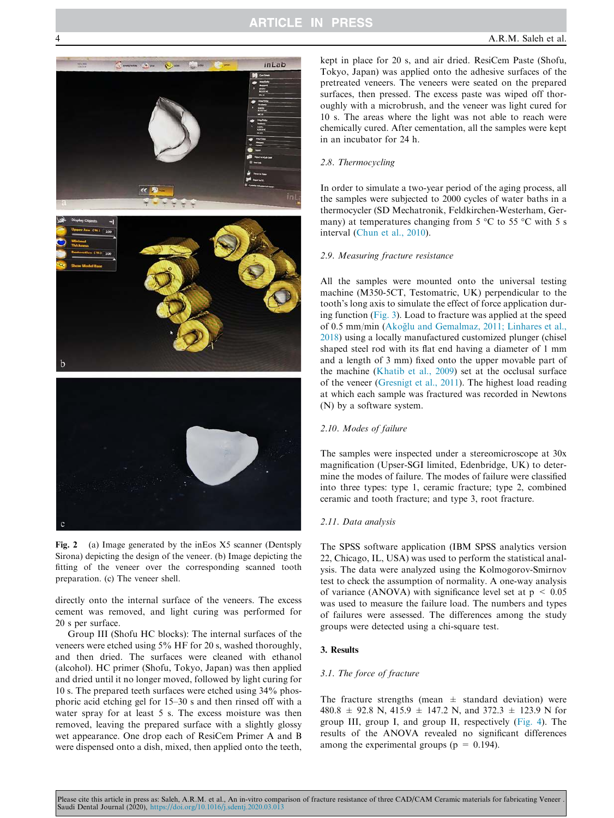# **ARTICLE IN PRESS**



Fig. 2 (a) Image generated by the inEos X5 scanner (Dentsply Sirona) depicting the design of the veneer. (b) Image depicting the fitting of the veneer over the corresponding scanned tooth preparation. (c) The veneer shell.

directly onto the internal surface of the veneers. The excess cement was removed, and light curing was performed for 20 s per surface.

Group III (Shofu HC blocks): The internal surfaces of the veneers were etched using 5% HF for 20 s, washed thoroughly, and then dried. The surfaces were cleaned with ethanol (alcohol). HC primer (Shofu, Tokyo, Japan) was then applied and dried until it no longer moved, followed by light curing for 10 s. The prepared teeth surfaces were etched using 34% phosphoric acid etching gel for 15–30 s and then rinsed off with a water spray for at least 5 s. The excess moisture was then removed, leaving the prepared surface with a slightly glossy wet appearance. One drop each of ResiCem Primer A and B were dispensed onto a dish, mixed, then applied onto the teeth,

kept in place for 20 s, and air dried. ResiCem Paste (Shofu, Tokyo, Japan) was applied onto the adhesive surfaces of the pretreated veneers. The veneers were seated on the prepared surfaces, then pressed. The excess paste was wiped off thoroughly with a microbrush, and the veneer was light cured for 10 s. The areas where the light was not able to reach were chemically cured. After cementation, all the samples were kept in an incubator for 24 h.

#### *2.8. Thermocycling*

In order to simulate a two-year period of the aging process, all the samples were subjected to 2000 cycles of water baths in a thermocycler (SD Mechatronik, Feldkirchen-Westerham, Germany) at temperatures changing from  $5^{\circ}$ C to  $55^{\circ}$ C with  $5^{\circ}$ s interval (Chun et al., 2010).

#### *2.9. Measuring fracture resistance*

All the samples were mounted onto the universal testing machine (M350-5CT, Testomatric, UK) perpendicular to the tooth's long axis to simulate the effect of force application during function (Fig. 3). Load to fracture was applied at the speed of 0.5 mm/min (Akoğlu and Gemalmaz, 2011; Linhares et al., 2018) using a locally manufactured customized plunger (chisel shaped steel rod with its flat end having a diameter of 1 mm and a length of 3 mm) fixed onto the upper movable part of the machine (Khatib et al., 2009) set at the occlusal surface of the veneer (Gresnigt et al., 2011). The highest load reading at which each sample was fractured was recorded in Newtons (N) by a software system.

#### *2.10. Modes of failure*

The samples were inspected under a stereomicroscope at 30x magnification (Upser-SGI limited, Edenbridge, UK) to determine the modes of failure. The modes of failure were classified into three types: type 1, ceramic fracture; type 2, combined ceramic and tooth fracture; and type 3, root fracture.

#### *2.11. Data analysis*

The SPSS software application (IBM SPSS analytics version 22, Chicago, IL, USA) was used to perform the statistical analysis. The data were analyzed using the Kolmogorov-Smirnov test to check the assumption of normality. A one-way analysis of variance (ANOVA) with significance level set at  $p < 0.05$ was used to measure the failure load. The numbers and types of failures were assessed. The differences among the study groups were detected using a chi-square test.

#### 3. Results

#### *3.1. The force of fracture*

The fracture strengths (mean  $\pm$  standard deviation) were 480.8 ± 92.8 N, 415.9 ± 147.2 N, and 372.3 ± 123.9 N for group III, group I, and group II, respectively (Fig. 4). The results of the ANOVA revealed no significant differences among the experimental groups ( $p = 0.194$ ).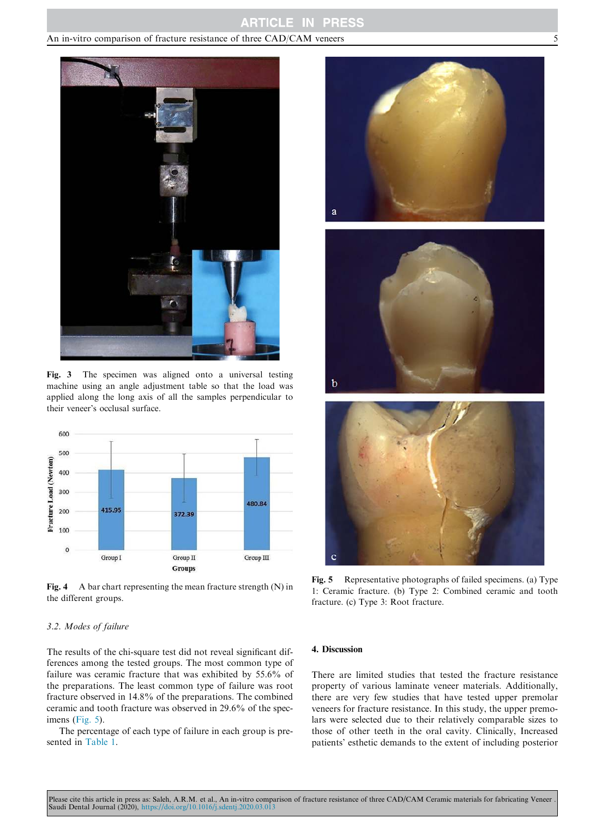## **ARTICLE IN PRESS**

#### An in-vitro comparison of fracture resistance of three CAD/CAM veneers 5



Fig. 3 The specimen was aligned onto a universal testing machine using an angle adjustment table so that the load was applied along the long axis of all the samples perpendicular to their veneer's occlusal surface*.*



Fig. 4 A bar chart representing the mean fracture strength (N) in the different groups.

#### *3.2. Modes of failure*

The results of the chi-square test did not reveal significant differences among the tested groups. The most common type of failure was ceramic fracture that was exhibited by 55.6% of the preparations. The least common type of failure was root fracture observed in 14.8% of the preparations. The combined ceramic and tooth fracture was observed in 29.6% of the specimens (Fig. 5).

The percentage of each type of failure in each group is presented in Table 1.







Fig. 5 Representative photographs of failed specimens. (a) Type 1: Ceramic fracture. (b) Type 2: Combined ceramic and tooth fracture. (c) Type 3: Root fracture.

#### 4. Discussion

There are limited studies that tested the fracture resistance property of various laminate veneer materials. Additionally, there are very few studies that have tested upper premolar veneers for fracture resistance. In this study, the upper premolars were selected due to their relatively comparable sizes to those of other teeth in the oral cavity. Clinically, Increased patients' esthetic demands to the extent of including posterior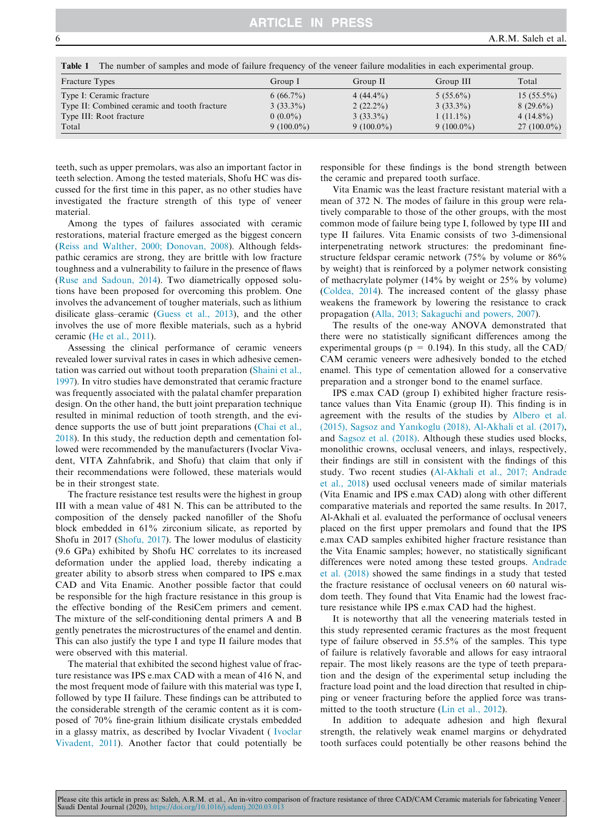material.

| Table 1               | The number of samples and mode of failure frequency of the veneer failure modalities in each experimental group. |             |             |             |              |
|-----------------------|------------------------------------------------------------------------------------------------------------------|-------------|-------------|-------------|--------------|
| <b>Fracture Types</b> |                                                                                                                  | Group 1     | Group II    | Group III   | Total        |
|                       | Type I: Ceramic fracture                                                                                         | $6(66.7\%)$ | $4(44.4\%)$ | $5(55.6\%)$ | $15(55.5\%)$ |

Type II: Combined ceramic and tooth fracture 3 (33.3%) 2 (22.2%) 3 (33.3%) 8 (29.6%) Type III: Root fracture  $0 (0.0%)$   $3 (33.3%)$   $1 (11.1%)$   $4 (14.8%)$ <br>Total  $9 (100.0%)$   $9 (100.0%)$   $9 (100.0%)$   $9 (100.0%)$   $27 (100.0%)$  $\begin{array}{ccccccc} \text{Total} & 9 & (100.0\%) & 9 & (100.0\%) & 9 & (100.0\%) & 27 & (100.0\%) \end{array}$ 

teeth, such as upper premolars, was also an important factor in teeth selection. Among the tested materials, Shofu HC was discussed for the first time in this paper, as no other studies have investigated the fracture strength of this type of veneer

Among the types of failures associated with ceramic restorations, material fracture emerged as the biggest concern (Reiss and Walther, 2000; Donovan, 2008). Although feldspathic ceramics are strong, they are brittle with low fracture toughness and a vulnerability to failure in the presence of flaws (Ruse and Sadoun, 2014). Two diametrically opposed solutions have been proposed for overcoming this problem. One involves the advancement of tougher materials, such as lithium disilicate glass–ceramic (Guess et al., 2013), and the other involves the use of more flexible materials, such as a hybrid ceramic (He et al., 2011).

Assessing the clinical performance of ceramic veneers revealed lower survival rates in cases in which adhesive cementation was carried out without tooth preparation (Shaini et al., 1997). In vitro studies have demonstrated that ceramic fracture was frequently associated with the palatal chamfer preparation design. On the other hand, the butt joint preparation technique resulted in minimal reduction of tooth strength, and the evidence supports the use of butt joint preparations (Chai et al., 2018). In this study, the reduction depth and cementation followed were recommended by the manufacturers (Ivoclar Vivadent, VITA Zahnfabrik, and Shofu) that claim that only if their recommendations were followed, these materials would be in their strongest state.

The fracture resistance test results were the highest in group III with a mean value of 481 N. This can be attributed to the composition of the densely packed nanofiller of the Shofu block embedded in 61% zirconium silicate, as reported by Shofu in 2017 (Shofu, 2017). The lower modulus of elasticity (9.6 GPa) exhibited by Shofu HC correlates to its increased deformation under the applied load, thereby indicating a greater ability to absorb stress when compared to IPS e.max CAD and Vita Enamic. Another possible factor that could be responsible for the high fracture resistance in this group is the effective bonding of the ResiCem primers and cement. The mixture of the self-conditioning dental primers A and B gently penetrates the microstructures of the enamel and dentin. This can also justify the type I and type II failure modes that were observed with this material.

The material that exhibited the second highest value of fracture resistance was IPS e.max CAD with a mean of 416 N, and the most frequent mode of failure with this material was type I, followed by type II failure. These findings can be attributed to the considerable strength of the ceramic content as it is composed of 70% fine-grain lithium disilicate crystals embedded in a glassy matrix, as described by Ivoclar Vivadent ( Ivoclar Vivadent, 2011). Another factor that could potentially be

responsible for these findings is the bond strength between the ceramic and prepared tooth surface.

Vita Enamic was the least fracture resistant material with a mean of 372 N. The modes of failure in this group were relatively comparable to those of the other groups, with the most common mode of failure being type I, followed by type III and type II failures. Vita Enamic consists of two 3-dimensional interpenetrating network structures: the predominant finestructure feldspar ceramic network (75% by volume or 86% by weight) that is reinforced by a polymer network consisting of methacrylate polymer (14% by weight or 25% by volume) (Coldea, 2014). The increased content of the glassy phase weakens the framework by lowering the resistance to crack propagation (Alla, 2013; Sakaguchi and powers, 2007).

The results of the one-way ANOVA demonstrated that there were no statistically significant differences among the experimental groups ( $p = 0.194$ ). In this study, all the CAD/ CAM ceramic veneers were adhesively bonded to the etched enamel. This type of cementation allowed for a conservative preparation and a stronger bond to the enamel surface.

IPS e.max CAD (group I) exhibited higher fracture resistance values than Vita Enamic (group II). This finding is in agreement with the results of the studies by Albero et al. (2015), Sagsoz and Yanıkoglu (2018), Al-Akhali et al. (2017), and Sagsoz et al. (2018). Although these studies used blocks, monolithic crowns, occlusal veneers, and inlays, respectively, their findings are still in consistent with the findings of this study. Two recent studies (Al-Akhali et al., 2017; Andrade et al., 2018) used occlusal veneers made of similar materials (Vita Enamic and IPS e.max CAD) along with other different comparative materials and reported the same results. In 2017, Al-Akhali et al. evaluated the performance of occlusal veneers placed on the first upper premolars and found that the IPS e.max CAD samples exhibited higher fracture resistance than the Vita Enamic samples; however, no statistically significant differences were noted among these tested groups. Andrade et al. (2018) showed the same findings in a study that tested the fracture resistance of occlusal veneers on 60 natural wisdom teeth. They found that Vita Enamic had the lowest fracture resistance while IPS e.max CAD had the highest.

It is noteworthy that all the veneering materials tested in this study represented ceramic fractures as the most frequent type of failure observed in 55.5% of the samples. This type of failure is relatively favorable and allows for easy intraoral repair. The most likely reasons are the type of teeth preparation and the design of the experimental setup including the fracture load point and the load direction that resulted in chipping or veneer fracturing before the applied force was transmitted to the tooth structure (Lin et al., 2012).

In addition to adequate adhesion and high flexural strength, the relatively weak enamel margins or dehydrated tooth surfaces could potentially be other reasons behind the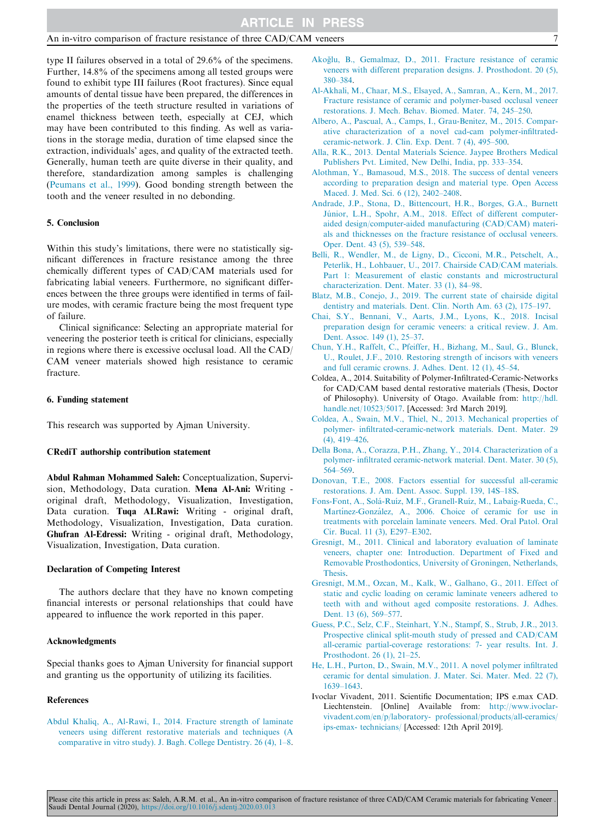type II failures observed in a total of 29.6% of the specimens. Further, 14.8% of the specimens among all tested groups were found to exhibit type III failures (Root fractures). Since equal amounts of dental tissue have been prepared, the differences in the properties of the teeth structure resulted in variations of enamel thickness between teeth, especially at CEJ, which may have been contributed to this finding. As well as variations in the storage media, duration of time elapsed since the extraction, individuals' ages, and quality of the extracted teeth. Generally, human teeth are quite diverse in their quality, and therefore, standardization among samples is challenging (Peumans et al., 1999). Good bonding strength between the tooth and the veneer resulted in no debonding.

#### 5. Conclusion

Within this study's limitations, there were no statistically significant differences in fracture resistance among the three chemically different types of CAD/CAM materials used for fabricating labial veneers. Furthermore, no significant differences between the three groups were identified in terms of failure modes, with ceramic fracture being the most frequent type of failure.

Clinical significance: Selecting an appropriate material for veneering the posterior teeth is critical for clinicians, especially in regions where there is excessive occlusal load. All the CAD/ CAM veneer materials showed high resistance to ceramic fracture.

#### 6. Funding statement

This research was supported by Ajman University.

#### CRediT authorship contribution statement

Abdul Rahman Mohammed Saleh: Conceptualization, Supervision, Methodology, Data curation. Mena Al-Ani: Writing original draft, Methodology, Visualization, Investigation, Data curation. Tuqa ALRawi: Writing - original draft, Methodology, Visualization, Investigation, Data curation. Ghufran Al-Edressi: Writing - original draft, Methodology, Visualization, Investigation, Data curation.

#### Declaration of Competing Interest

The authors declare that they have no known competing financial interests or personal relationships that could have appeared to influence the work reported in this paper.

#### Acknowledgments

Special thanks goes to Ajman University for financial support and granting us the opportunity of utilizing its facilities.

#### **References**

Abdul Khaliq, A., Al-Rawi, I., 2014. Fracture strength of laminate veneers using different restorative materials and techniques (A comparative in vitro study). J. Bagh. College Dentistry. 26 (4), 1–8.

- Akoğlu, B., Gemalmaz, D., 2011. Fracture resistance of ceramic veneers with different preparation designs. J. Prosthodont. 20 (5), 380–384.
- Al-Akhali, M., Chaar, M.S., Elsayed, A., Samran, A., Kern, M., 2017. Fracture resistance of ceramic and polymer-based occlusal veneer restorations. J. Mech. Behav. Biomed. Mater. 74, 245–250.
- Albero, A., Pascual, A., Camps, I., Grau-Benitez, M., 2015. Comparative characterization of a novel cad-cam polymer-infiltratedceramic-network. J. Clin. Exp. Dent. 7 (4), 495–500.
- Alla, R.K., 2013. Dental Materials Science. Jaypee Brothers Medical Publishers Pvt. Limited, New Delhi, India, pp. 333–354.
- Alothman, Y., Bamasoud, M.S., 2018. The success of dental veneers according to preparation design and material type. Open Access Maced. J. Med. Sci. 6 (12), 2402–2408.
- Andrade, J.P., Stona, D., Bittencourt, H.R., Borges, G.A., Burnett Júnior, L.H., Spohr, A.M., 2018. Effect of different computeraided design/computer-aided manufacturing (CAD/CAM) materials and thicknesses on the fracture resistance of occlusal veneers. Oper. Dent. 43 (5), 539–548.
- Belli, R., Wendler, M., de Ligny, D., Cicconi, M.R., Petschelt, A., Peterlik, H., Lohbauer, U., 2017. Chairside CAD/CAM materials. Part 1: Measurement of elastic constants and microstructural characterization. Dent. Mater. 33 (1), 84–98.
- Blatz, M.B., Conejo, J., 2019. The current state of chairside digital dentistry and materials. Dent. Clin. North Am. 63 (2), 175–197.
- Chai, S.Y., Bennani, V., Aarts, J.M., Lyons, K., 2018. Incisal preparation design for ceramic veneers: a critical review. J. Am. Dent. Assoc. 149 (1), 25–37.
- Chun, Y.H., Raffelt, C., Pfeiffer, H., Bizhang, M., Saul, G., Blunck, U., Roulet, J.F., 2010. Restoring strength of incisors with veneers and full ceramic crowns. J. Adhes. Dent. 12 (1), 45–54.
- Coldea, A., 2014. Suitability of Polymer-Infiltrated-Ceramic-Networks for CAD/CAM based dental restorative materials (Thesis, Doctor of Philosophy). University of Otago. Available from: http://hdl. handle.net/10523/5017. [Accessed: 3rd March 2019].
- Coldea, A., Swain, M.V., Thiel, N., 2013. Mechanical properties of polymer- infiltrated-ceramic-network materials. Dent. Mater. 29 (4), 419–426.
- Della Bona, A., Corazza, P.H., Zhang, Y., 2014. Characterization of a polymer- infiltrated ceramic-network material. Dent. Mater. 30 (5), 564–569.
- Donovan, T.E., 2008. Factors essential for successful all-ceramic restorations. J. Am. Dent. Assoc. Suppl. 139, 14S–18S.
- Fons-Font, A., Solá-Ruíz, M.F., Granell-Ruíz, M., Labaig-Rueda, C., Martínez-González, A., 2006. Choice of ceramic for use in treatments with porcelain laminate veneers. Med. Oral Patol. Oral Cir. Bucal. 11 (3), E297–E302.
- Gresnigt, M., 2011. Clinical and laboratory evaluation of laminate veneers, chapter one: Introduction. Department of Fixed and Removable Prosthodontics, University of Groningen, Netherlands, Thesis.
- Gresnigt, M.M., Ozcan, M., Kalk, W., Galhano, G., 2011. Effect of static and cyclic loading on ceramic laminate veneers adhered to teeth with and without aged composite restorations. J. Adhes. Dent. 13 (6), 569–577.
- Guess, P.C., Selz, C.F., Steinhart, Y.N., Stampf, S., Strub, J.R., 2013. Prospective clinical split-mouth study of pressed and CAD/CAM all-ceramic partial-coverage restorations: 7- year results. Int. J. Prosthodont. 26 (1), 21–25.
- He, L.H., Purton, D., Swain, M.V., 2011. A novel polymer infiltrated ceramic for dental simulation. J. Mater. Sci. Mater. Med. 22 (7), 1639–1643.
- Ivoclar Vivadent, 2011. Scientific Documentation; IPS e.max CAD. Liechtenstein. [Online] Available from: http://www.ivoclarvivadent.com/en/p/laboratory- professional/products/all-ceramics/ ips-emax- technicians/ [Accessed: 12th April 2019].